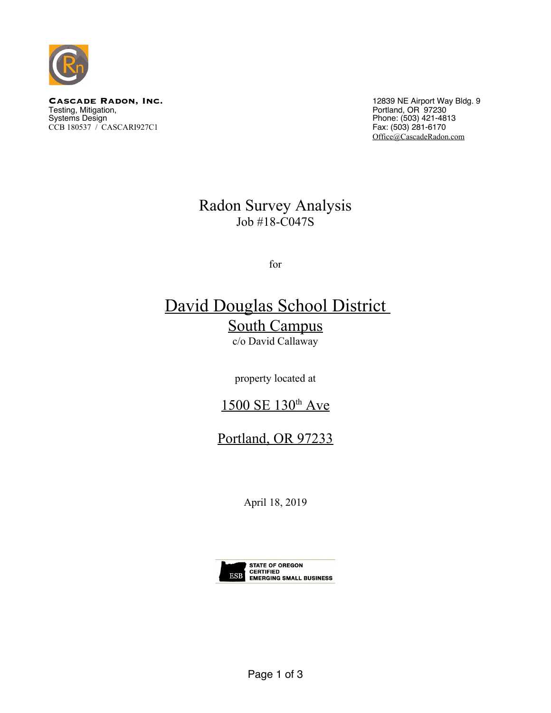

**CASCADE RADON, INC.**<br>
Testing, Mitigation, **INC.**<br>
Testing, Mitigation, **INC.**<br>
Portland, OR 97230 Testing, Mitigation, Portland, OR 97230 Systems Design Phone: (503) 421-4813 CCB 180537 / CASCARI927C1 Fax: (503) 281-6170

[Office@CascadeRadon.com](mailto:Office@CascadeRadon.com)

### Radon Survey Analysis Job #18-C047S

for

# David Douglas School District South Campus

c/o David Callaway

property located at

### 1500 SE 130<sup>th</sup> Ave

## Portland, OR 97233

April 18, 2019

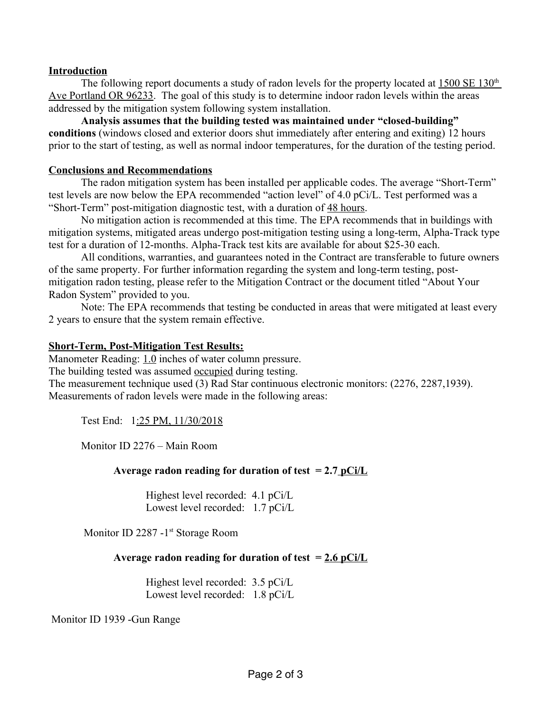#### **Introduction**

The following report documents a study of radon levels for the property located at 1500 SE 130<sup>th</sup> Ave Portland OR 96233. The goal of this study is to determine indoor radon levels within the areas addressed by the mitigation system following system installation.

**Analysis assumes that the building tested was maintained under "closed-building" conditions** (windows closed and exterior doors shut immediately after entering and exiting) 12 hours prior to the start of testing, as well as normal indoor temperatures, for the duration of the testing period.

#### **Conclusions and Recommendations**

The radon mitigation system has been installed per applicable codes. The average "Short-Term" test levels are now below the EPA recommended "action level" of 4.0 pCi/L. Test performed was a "Short-Term" post-mitigation diagnostic test, with a duration of 48 hours.

No mitigation action is recommended at this time. The EPA recommends that in buildings with mitigation systems, mitigated areas undergo post-mitigation testing using a long-term, Alpha-Track type test for a duration of 12-months. Alpha-Track test kits are available for about \$25-30 each.

All conditions, warranties, and guarantees noted in the Contract are transferable to future owners of the same property. For further information regarding the system and long-term testing, postmitigation radon testing, please refer to the Mitigation Contract or the document titled "About Your Radon System" provided to you.

Note: The EPA recommends that testing be conducted in areas that were mitigated at least every 2 years to ensure that the system remain effective.

#### **Short-Term, Post-Mitigation Test Results:**

Manometer Reading: 1.0 inches of water column pressure.

The building tested was assumed occupied during testing.

The measurement technique used (3) Rad Star continuous electronic monitors: (2276, 2287,1939). Measurements of radon levels were made in the following areas:

Test End: 1:25 PM, 11/30/2018

Monitor ID 2276 – Main Room

#### **Average radon reading for duration of test = 2.7 pCi/L**

Highest level recorded: 4.1 pCi/L Lowest level recorded: 1.7 pCi/L

Monitor ID 2287 -1<sup>st</sup> Storage Room

#### **Average radon reading for duration of test = 2.6 pCi/L**

Highest level recorded: 3.5 pCi/L Lowest level recorded: 1.8 pCi/L

Monitor ID 1939 -Gun Range